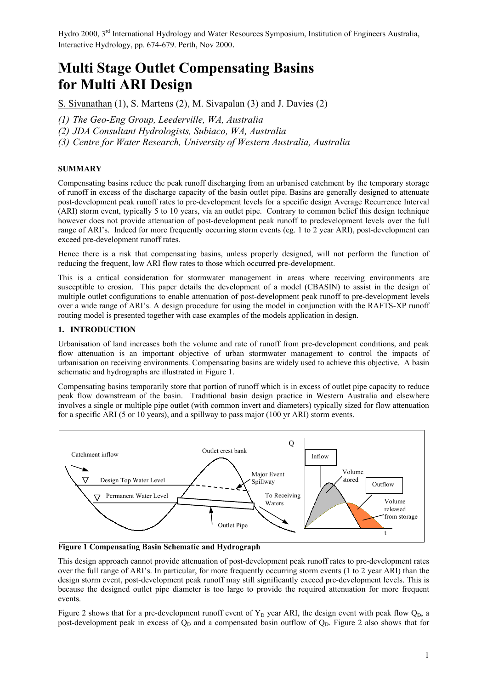# **Multi Stage Outlet Compensating Basins for Multi ARI Design**

S. Sivanathan (1), S. Martens (2), M. Sivapalan (3) and J. Davies (2)

*(1) The Geo-Eng Group, Leederville, WA, Australia*

*(2) JDA Consultant Hydrologists, Subiaco, WA, Australia* 

*(3) Centre for Water Research, University of Western Australia, Australia*

# **SUMMARY**

Compensating basins reduce the peak runoff discharging from an urbanised catchment by the temporary storage of runoff in excess of the discharge capacity of the basin outlet pipe. Basins are generally designed to attenuate post-development peak runoff rates to pre-development levels for a specific design Average Recurrence Interval (ARI) storm event, typically 5 to 10 years, via an outlet pipe. Contrary to common belief this design technique however does not provide attenuation of post-development peak runoff to predevelopment levels over the full range of ARI's. Indeed for more frequently occurring storm events (eg. 1 to 2 year ARI), post-development can exceed pre-development runoff rates.

Hence there is a risk that compensating basins, unless properly designed, will not perform the function of reducing the frequent, low ARI flow rates to those which occurred pre-development.

This is a critical consideration for stormwater management in areas where receiving environments are susceptible to erosion. This paper details the development of a model (CBASIN) to assist in the design of multiple outlet configurations to enable attenuation of post-development peak runoff to pre-development levels over a wide range of ARI's. A design procedure for using the model in conjunction with the RAFTS-XP runoff routing model is presented together with case examples of the models application in design.

# **1. INTRODUCTION**

Urbanisation of land increases both the volume and rate of runoff from pre-development conditions, and peak flow attenuation is an important objective of urban stormwater management to control the impacts of urbanisation on receiving environments. Compensating basins are widely used to achieve this objective. A basin schematic and hydrographs are illustrated in Figure 1.

Compensating basins temporarily store that portion of runoff which is in excess of outlet pipe capacity to reduce peak flow downstream of the basin. Traditional basin design practice in Western Australia and elsewhere involves a single or multiple pipe outlet (with common invert and diameters) typically sized for flow attenuation for a specific ARI (5 or 10 years), and a spillway to pass major (100 yr ARI) storm events.



**Figure 1 Compensating Basin Schematic and Hydrograph**

This design approach cannot provide attenuation of post-development peak runoff rates to pre-development rates over the full range of ARI's. In particular, for more frequently occurring storm events (1 to 2 year ARI) than the design storm event, post-development peak runoff may still significantly exceed pre-development levels. This is because the designed outlet pipe diameter is too large to provide the required attenuation for more frequent events.

Figure 2 shows that for a pre-development runoff event of  $Y_D$  year ARI, the design event with peak flow  $Q_D$ , a post-development peak in excess of  $Q_D$  and a compensated basin outflow of  $Q_D$ . Figure 2 also shows that for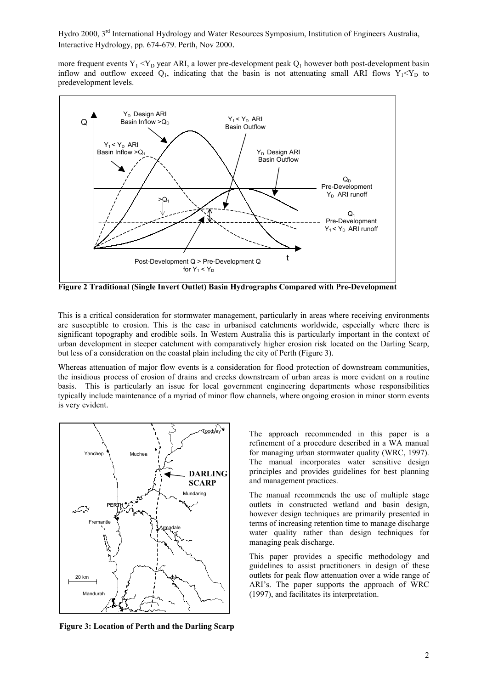more frequent events  $Y_1 \le Y_D$  year ARI, a lower pre-development peak  $Q_1$  however both post-development basin inflow and outflow exceed  $Q_1$ , indicating that the basin is not attenuating small ARI flows  $Y_1 \le Y_D$  to predevelopment levels.



**Figure 2 Traditional (Single Invert Outlet) Basin Hydrographs Compared with Pre-Development**

This is a critical consideration for stormwater management, particularly in areas where receiving environments are susceptible to erosion. This is the case in urbanised catchments worldwide, especially where there is significant topography and erodible soils. In Western Australia this is particularly important in the context of urban development in steeper catchment with comparatively higher erosion risk located on the Darling Scarp, but less of a consideration on the coastal plain including the city of Perth (Figure 3).

Whereas attenuation of major flow events is a consideration for flood protection of downstream communities. the insidious process of erosion of drains and creeks downstream of urban areas is more evident on a routine basis. This is particularly an issue for local government engineering departments whose responsibilities typically include maintenance of a myriad of minor flow channels, where ongoing erosion in minor storm events is very evident.



**Figure 3: Location of Perth and the Darling Scarp**

The approach recommended in this paper is a refinement of a procedure described in a WA manual for managing urban stormwater quality (WRC, 1997). The manual incorporates water sensitive design principles and provides guidelines for best planning and management practices.

The manual recommends the use of multiple stage outlets in constructed wetland and basin design, however design techniques are primarily presented in terms of increasing retention time to manage discharge water quality rather than design techniques for managing peak discharge.

This paper provides a specific methodology and guidelines to assist practitioners in design of these outlets for peak flow attenuation over a wide range of ARI's. The paper supports the approach of WRC (1997), and facilitates its interpretation.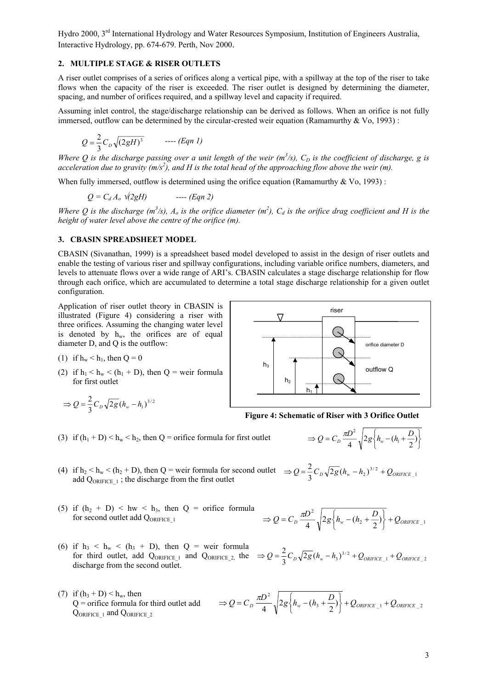#### **2. MULTIPLE STAGE & RISER OUTLETS**

A riser outlet comprises of a series of orifices along a vertical pipe, with a spillway at the top of the riser to take flows when the capacity of the riser is exceeded. The riser outlet is designed by determining the diameter, spacing, and number of orifices required, and a spillway level and capacity if required.

Assuming inlet control, the stage/discharge relationship can be derived as follows. When an orifice is not fully immersed, outflow can be determined by the circular-crested weir equation (Ramamurthy  $&\text{Vo}, 1993)$ :

$$
Q = \frac{2}{3} C_D \sqrt{(2gH)^3} \qquad \text{---} (Eqn 1)
$$

*Where Q is the discharge passing over a unit length of the weir*  $(m^3/s)$ *,*  $C_D$  *is the coefficient of discharge, g is acceleration due to gravity (m/s2 ), and H is the total head of the approaching flow above the weir (m).*

When fully immersed, outflow is determined using the orifice equation (Ramamurthy  $&\text{Vo}$ , 1993):

 $Q = C_d A_o \sqrt{2gH}$  ---- (Eqn 2)

*Where Q is the discharge (m<sup>3</sup>/s), A<sub>o</sub> is the orifice diameter (m<sup>2</sup>), C<sub>d</sub> is the orifice drag coefficient and H is the height of water level above the centre of the orifice (m).* 

#### **3. CBASIN SPREADSHEET MODEL**

CBASIN (Sivanathan, 1999) is a spreadsheet based model developed to assist in the design of riser outlets and enable the testing of various riser and spillway configurations, including variable orifice numbers, diameters, and levels to attenuate flows over a wide range of ARI's. CBASIN calculates a stage discharge relationship for flow through each orifice, which are accumulated to determine a total stage discharge relationship for a given outlet configuration.

Application of riser outlet theory in CBASIN is illustrated (Figure 4) considering a riser with three orifices. Assuming the changing water level is denoted by  $h_w$ , the orifices are of equal diameter D, and Q is the outflow:

- (1) if  $h_w < h_1$ , then  $Q = 0$
- (2) if  $h_1 < h_w < (h_1 + D)$ , then  $Q =$  weir formula for first outlet

$$
\Rightarrow Q = \frac{2}{3} C_D \sqrt{2g} (h_w - h_1)^{3/2}
$$

(3) if  $(h_1 + D) < h_w < h_2$ , then Q = orifice formula for first outlet



**Figure 4: Schematic of Riser with 3 Orifice Outlet**

 $\left\{\begin{array}{c} \phantom{a}\\ \phantom{a}\\ \phantom{a}\end{array}\right\}$  $\Rightarrow Q = C_D \frac{\pi D^2}{4} \sqrt{2g \left\{ h_w - (h_1 + \frac{D}{2}) \right\}}$ 

3  $\top$   $\rightarrow$  ) (  $\top$   $\sim$  ORIFICE  $_{-1}$   $\top$   $\sim$  ORIFICE  $_{-2}$ 

- (4) if  $h_2 < h_w < (h_2 + D)$ , then  $Q =$  weir formula for second outlet  $\Rightarrow Q = \frac{2}{3} C_D \sqrt{2g} (h_w h_2)^{3/2} + Q_{ORIFICE_1}$  add Operator is the discharge from the first outlet add  $Q_{ORIFICE 1}$ ; the discharge from the first outlet
- (5) if  $(h_2 + D) < hw < h_3$ , then  $Q =$  orifice formula for second outlet add  $Q_{ORIFICE-1}$
- (6) if  $h_3 < h_w < (h_3 + D)$ , then  $Q =$  weir for for third outlet, add  $Q_{ORIFICE 1}$  and  $Q_{ORIFICE}$ discharge from the second outlet.
- (7) if  $(h_3 + D) < h_w$ , then  $Q =$  orifice formula for third outlet add QORIFICE 1 and QORIFICE 2

$$
\Rightarrow Q = C_D \frac{\pi D^2}{4} \sqrt{2g \left\{ h_w - (h_2 + \frac{D}{2}) \right\}} + Q_{ORIFICE\_1}
$$

$$
\text{ formula}_{2, \text{ the }} \Rightarrow Q = \frac{2}{3} C_D \sqrt{2g} (h_w - h_3)^{3/2} + Q_{ORIFICE\_1} + Q_{ORIFICE\_2}
$$

 $Q = C_D \frac{\pi D^2}{4} \sqrt{2g\left\{h_w - (h_3 + \frac{D}{2})\right\}} + Q_{ORIFICE\_1} + Q_{ORIFICE}$ 

 $-\frac{2}{3}2g\big\{h_{w}-(h_{3}+\frac{D}{2})\big\}$ 

 $\Rightarrow Q = C_D \frac{\pi D^2}{4} \sqrt{2g \left\{ h_w - (h_3 + h_1) \right\}^2}$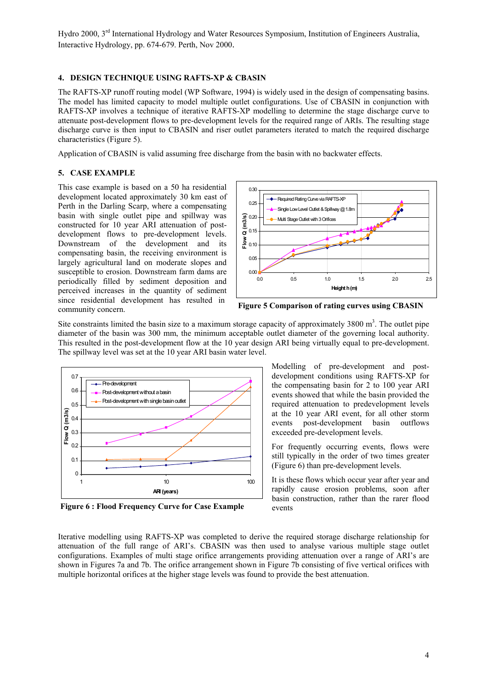# **4. DESIGN TECHNIQUE USING RAFTS-XP & CBASIN**

The RAFTS-XP runoff routing model (WP Software, 1994) is widely used in the design of compensating basins. The model has limited capacity to model multiple outlet configurations. Use of CBASIN in conjunction with RAFTS-XP involves a technique of iterative RAFTS-XP modelling to determine the stage discharge curve to attenuate post-development flows to pre-development levels for the required range of ARIs. The resulting stage discharge curve is then input to CBASIN and riser outlet parameters iterated to match the required discharge characteristics (Figure 5).

Application of CBASIN is valid assuming free discharge from the basin with no backwater effects.

# **5. CASE EXAMPLE**

This case example is based on a 50 ha residential development located approximately 30 km east of Perth in the Darling Scarp, where a compensating basin with single outlet pipe and spillway was constructed for 10 year ARI attenuation of postdevelopment flows to pre-development levels. Downstream of the development and its compensating basin, the receiving environment is largely agricultural land on moderate slopes and susceptible to erosion. Downstream farm dams are periodically filled by sediment deposition and perceived increases in the quantity of sediment since residential development has resulted in community concern.



**Figure 5 Comparison of rating curves using CBASIN**

Site constraints limited the basin size to a maximum storage capacity of approximately  $3800 \text{ m}^3$ . The outlet pipe diameter of the basin was 300 mm, the minimum acceptable outlet diameter of the governing local authority. This resulted in the post-development flow at the 10 year design ARI being virtually equal to pre-development. The spillway level was set at the 10 year ARI basin water level.



**Figure 6 : Flood Frequency Curve for Case Example**

Modelling of pre-development and postdevelopment conditions using RAFTS-XP for the compensating basin for 2 to 100 year ARI events showed that while the basin provided the required attenuation to predevelopment levels at the 10 year ARI event, for all other storm events post-development basin outflows exceeded pre-development levels.

For frequently occurring events, flows were still typically in the order of two times greater (Figure 6) than pre-development levels.

It is these flows which occur year after year and rapidly cause erosion problems, soon after basin construction, rather than the rarer flood events

Iterative modelling using RAFTS-XP was completed to derive the required storage discharge relationship for attenuation of the full range of ARI's. CBASIN was then used to analyse various multiple stage outlet configurations. Examples of multi stage orifice arrangements providing attenuation over a range of ARI's are shown in Figures 7a and 7b. The orifice arrangement shown in Figure 7b consisting of five vertical orifices with multiple horizontal orifices at the higher stage levels was found to provide the best attenuation.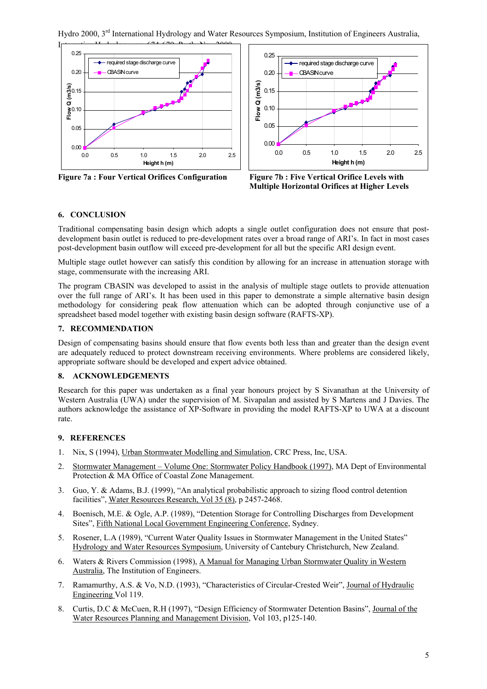Hydro 2000, 3rd International Hydrology and Water Resources Symposium, Institution of Engineers Australia,



**Figure 7a : Four Vertical Orifices Configuration Figure 7b : Five Vertical Orifice Levels with**



**Multiple Horizontal Orifices at Higher Levels**

# **6. CONCLUSION**

Traditional compensating basin design which adopts a single outlet configuration does not ensure that postdevelopment basin outlet is reduced to pre-development rates over a broad range of ARI's. In fact in most cases post-development basin outflow will exceed pre-development for all but the specific ARI design event.

Multiple stage outlet however can satisfy this condition by allowing for an increase in attenuation storage with stage, commensurate with the increasing ARI.

The program CBASIN was developed to assist in the analysis of multiple stage outlets to provide attenuation over the full range of ARI's. It has been used in this paper to demonstrate a simple alternative basin design methodology for considering peak flow attenuation which can be adopted through conjunctive use of a spreadsheet based model together with existing basin design software (RAFTS-XP).

#### **7. RECOMMENDATION**

Design of compensating basins should ensure that flow events both less than and greater than the design event are adequately reduced to protect downstream receiving environments. Where problems are considered likely, appropriate software should be developed and expert advice obtained.

## **8. ACKNOWLEDGEMENTS**

Research for this paper was undertaken as a final year honours project by S Sivanathan at the University of Western Australia (UWA) under the supervision of M. Sivapalan and assisted by S Martens and J Davies. The authors acknowledge the assistance of XP-Software in providing the model RAFTS-XP to UWA at a discount rate.

#### **9. REFERENCES**

- 1. Nix, S (1994), Urban Stormwater Modelling and Simulation, CRC Press, Inc, USA.
- 2. Stormwater Management Volume One: Stormwater Policy Handbook (1997), MA Dept of Environmental Protection & MA Office of Coastal Zone Management.
- 3. Guo, Y. & Adams, B.J. (1999), "An analytical probabilistic approach to sizing flood control detention facilities", Water Resources Research, Vol 35 (8), p 2457-2468.
- 4. Boenisch, M.E. & Ogle, A.P. (1989), "Detention Storage for Controlling Discharges from Development Sites", Fifth National Local Government Engineering Conference, Sydney.
- 5. Rosener, L.A (1989), "Current Water Quality Issues in Stormwater Management in the United States" Hydrology and Water Resources Symposium, University of Cantebury Christchurch, New Zealand.
- 6. Waters & Rivers Commission (1998), A Manual for Managing Urban Stormwater Quality in Western Australia, The Institution of Engineers.
- 7. Ramamurthy, A.S. & Vo, N.D. (1993), "Characteristics of Circular-Crested Weir", Journal of Hydraulic Engineering Vol 119.
- 8. Curtis, D.C & McCuen, R.H (1997), "Design Efficiency of Stormwater Detention Basins", Journal of the Water Resources Planning and Management Division, Vol 103, p125-140.